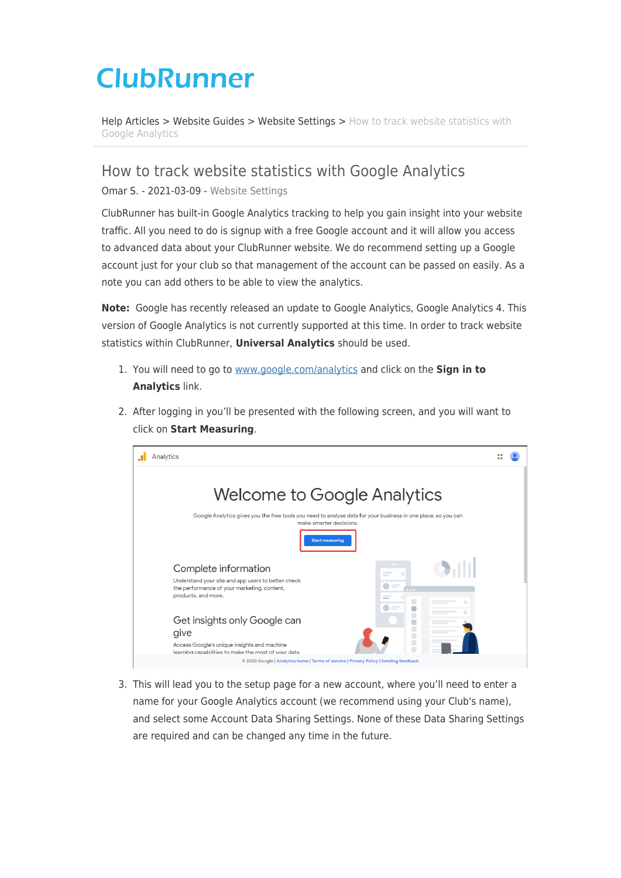## **ClubRunner**

[Help Articles](https://www.clubrunnersupport.com/kb) > [Website Guides](https://www.clubrunnersupport.com/kb/website-guides) > [Website Settings](https://www.clubrunnersupport.com/kb/website-settings) > [How to track website statistics with](https://www.clubrunnersupport.com/kb/articles/how-to-track-website-statistics-with-google-analytics) [Google Analytics](https://www.clubrunnersupport.com/kb/articles/how-to-track-website-statistics-with-google-analytics)

How to track website statistics with Google Analytics

Omar S. - 2021-03-09 - [Website Settings](https://www.clubrunnersupport.com/kb/website-settings)

ClubRunner has built-in Google Analytics tracking to help you gain insight into your website traffic. All you need to do is signup with a free Google account and it will allow you access to advanced data about your ClubRunner website. We do recommend setting up a Google account just for your club so that management of the account can be passed on easily. As a note you can add others to be able to view the analytics.

**Note:** Google has recently released an update to Google Analytics, Google Analytics 4. This version of Google Analytics is not currently supported at this time. In order to track website statistics within ClubRunner, **Universal Analytics** should be used.

- 1. You will need to go to [www.google.com/analytics](http://www.google.com/analytics) and click on the **Sign in to Analytics** link.
- 2. After logging in you'll be presented with the following screen, and you will want to click on **Start Measuring**.



3. This will lead you to the setup page for a new account, where you'll need to enter a name for your Google Analytics account (we recommend using your Club's name), and select some Account Data Sharing Settings. None of these Data Sharing Settings are required and can be changed any time in the future.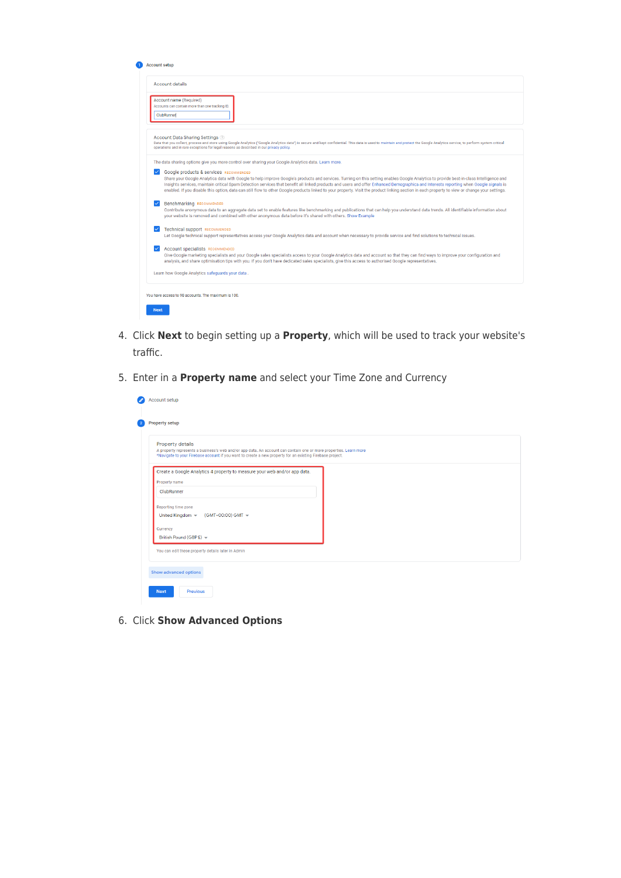|             | <b>Account setup</b>                                                                                                                                                                                                                                                                                                                                                                                                                                                                                                                                                                                                                     |
|-------------|------------------------------------------------------------------------------------------------------------------------------------------------------------------------------------------------------------------------------------------------------------------------------------------------------------------------------------------------------------------------------------------------------------------------------------------------------------------------------------------------------------------------------------------------------------------------------------------------------------------------------------------|
|             | <b>Account details</b>                                                                                                                                                                                                                                                                                                                                                                                                                                                                                                                                                                                                                   |
|             | Account name (Required)<br>Accounts can contain more than one tracking ID.<br>ClubRunner                                                                                                                                                                                                                                                                                                                                                                                                                                                                                                                                                 |
|             | Account Data Sharing Settings ?<br>Data that you collect, process and store using Google Analytics ("Google Analytics data") is secure and kept confidential. This data is used to maintain and protect the Google Analytics service, to perform system critical<br>operations and in rare exceptions for legal reasons as described in our privacy policy.                                                                                                                                                                                                                                                                              |
|             | The data sharing options give you more control over sharing your Google Analytics data. Learn more.                                                                                                                                                                                                                                                                                                                                                                                                                                                                                                                                      |
|             | <b>Google products &amp; services RECOMMENDED</b><br>Share your Google Analytics data with Google to help improve Google's products and services. Turning on this setting enables Google Analytics to provide best-in-class Intelligence and<br>Insights services, maintain critical Spam Detection services that benefit all linked products and users and offer Enhanced Demographics and Interests reporting when Google signals is<br>enabled. If you disable this option, data can still flow to other Google products linked to your property. Visit the product linking section in each property to view or change your settings. |
|             | <b>Benchmarking RECOMMENDED</b><br>Contribute anonymous data to an aggregate data set to enable features like benchmarking and publications that can help you understand data trends. All identifiable information about<br>your website is removed and combined with other anonymous data before it's shared with others. Show Example                                                                                                                                                                                                                                                                                                  |
|             | <b>Technical support RECOMMENDED</b><br>Let Google technical support representatives access your Google Analytics data and account when necessary to provide service and find solutions to technical issues.                                                                                                                                                                                                                                                                                                                                                                                                                             |
|             | <b>Account specialists RECOMMENDED</b><br>Give Google marketing specialists and your Google sales specialists access to your Google Analytics data and account so that they can find ways to improve your configuration and<br>analysis, and share optimisation tips with you. If you don't have dedicated sales specialists, give this access to authorised Google representatives.                                                                                                                                                                                                                                                     |
|             | Learn how Google Analytics safeguards your data.                                                                                                                                                                                                                                                                                                                                                                                                                                                                                                                                                                                         |
|             | You have access to 98 accounts. The maximum is 100.                                                                                                                                                                                                                                                                                                                                                                                                                                                                                                                                                                                      |
| <b>Next</b> |                                                                                                                                                                                                                                                                                                                                                                                                                                                                                                                                                                                                                                          |

- 4. Click **Next** to begin setting up a **Property**, which will be used to track your website's traffic.
- 5. Enter in a **Property name** and select your Time Zone and Currency

| Property details                                               | A property represents a business's web and/or app data. An account can contain one or more properties. Learn more<br>*Navigate to your Firebase account if you want to create a new property for an existing Firebase project. |  |  |
|----------------------------------------------------------------|--------------------------------------------------------------------------------------------------------------------------------------------------------------------------------------------------------------------------------|--|--|
|                                                                | Create a Google Analytics 4 property to measure your web and/or app data.                                                                                                                                                      |  |  |
| Property name                                                  |                                                                                                                                                                                                                                |  |  |
| ClubRunner                                                     |                                                                                                                                                                                                                                |  |  |
| Reporting time zone                                            |                                                                                                                                                                                                                                |  |  |
| United Kingdom $\star$<br>(GMT+00:00) GMT $\blacktriangledown$ |                                                                                                                                                                                                                                |  |  |
| Currency                                                       |                                                                                                                                                                                                                                |  |  |
| British Pound (GBP £) =                                        |                                                                                                                                                                                                                                |  |  |
| You can edit these property details later in Admin             |                                                                                                                                                                                                                                |  |  |

6. Click **Show Advanced Options**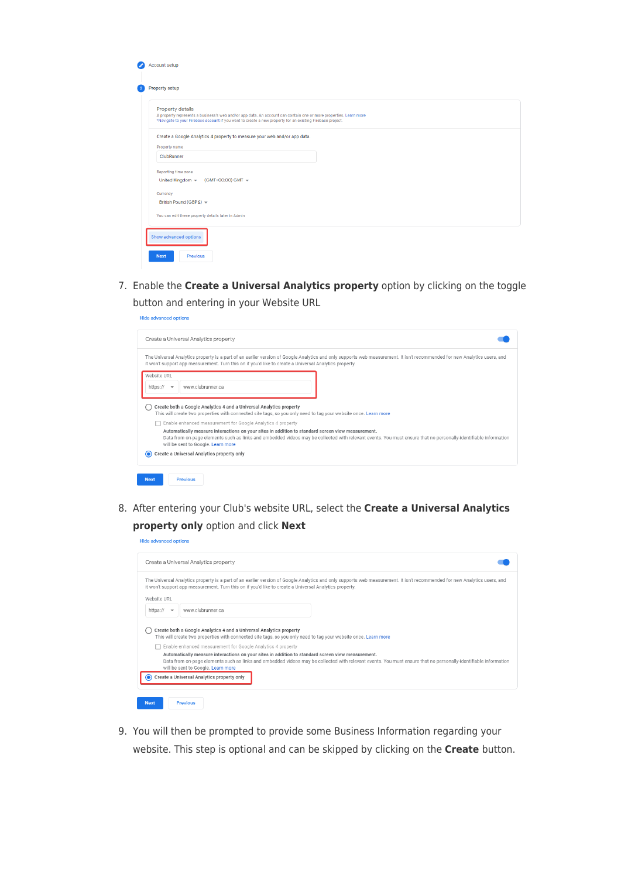| $\bullet$      | Account setup                                                                                                                                                                                                                                      |  |  |  |  |
|----------------|----------------------------------------------------------------------------------------------------------------------------------------------------------------------------------------------------------------------------------------------------|--|--|--|--|
| $\overline{2}$ | <b>Property setup</b>                                                                                                                                                                                                                              |  |  |  |  |
|                | Property details<br>A property represents a business's web and/or app data. An account can contain one or more properties. Learn more<br>*Navigate to your Firebase account if you want to create a new property for an existing Firebase project. |  |  |  |  |
|                | Create a Google Analytics 4 property to measure your web and/or app data.                                                                                                                                                                          |  |  |  |  |
|                | Property name                                                                                                                                                                                                                                      |  |  |  |  |
|                | ClubRunner                                                                                                                                                                                                                                         |  |  |  |  |
|                | Reporting time zone                                                                                                                                                                                                                                |  |  |  |  |
|                | United Kingdom $\blacktriangledown$<br>(GMT+00:00) GMT $\blacktriangledown$                                                                                                                                                                        |  |  |  |  |
|                | Currency                                                                                                                                                                                                                                           |  |  |  |  |
|                | British Pound (GBP £) ~                                                                                                                                                                                                                            |  |  |  |  |
|                | You can edit these property details later in Admin                                                                                                                                                                                                 |  |  |  |  |
|                | Show advanced options                                                                                                                                                                                                                              |  |  |  |  |
|                | <b>Previous</b><br><b>Next</b>                                                                                                                                                                                                                     |  |  |  |  |

7. Enable the **Create a Universal Analytics property** option by clicking on the toggle button and entering in your Website URL

| <b>Hide advanced options</b>                                                                                                                                                                                                                                                                                                                                              |  |  |  |  |
|---------------------------------------------------------------------------------------------------------------------------------------------------------------------------------------------------------------------------------------------------------------------------------------------------------------------------------------------------------------------------|--|--|--|--|
| Create a Universal Analytics property                                                                                                                                                                                                                                                                                                                                     |  |  |  |  |
| The Universal Analytics property is a part of an earlier version of Google Analytics and only supports web measurement. It isn't recommended for new Analytics users, and<br>it won't support app measurement. Turn this on if you'd like to create a Universal Analytics property.                                                                                       |  |  |  |  |
| Website URI<br>www.clubrunner.ca<br>https://<br>$\overline{\phantom{a}}$                                                                                                                                                                                                                                                                                                  |  |  |  |  |
| Create both a Google Analytics 4 and a Universal Analytics property<br>This will create two properties with connected site tags, so you only need to tag your website once. Learn more                                                                                                                                                                                    |  |  |  |  |
| Enable enhanced measurement for Google Analytics 4 property<br>Automatically measure interactions on your sites in addition to standard screen view measurement.<br>Data from on-page elements such as links and embedded videos may be collected with relevant events. You must ensure that no personally-identifiable information<br>will be sent to Google. Learn more |  |  |  |  |
| Create a Universal Analytics property only                                                                                                                                                                                                                                                                                                                                |  |  |  |  |
| <b>Next</b><br>Previous                                                                                                                                                                                                                                                                                                                                                   |  |  |  |  |

8. After entering your Club's website URL, select the **Create a Universal Analytics property only** option and click **Next**

| Hide advanced options                                                                                                                                                                                                                                                                              |
|----------------------------------------------------------------------------------------------------------------------------------------------------------------------------------------------------------------------------------------------------------------------------------------------------|
| Create a Universal Analytics property                                                                                                                                                                                                                                                              |
| The Universal Analytics property is a part of an earlier version of Google Analytics and only supports web measurement. It isn't recommended for new Analytics users, and<br>it won't support app measurement. Turn this on if you'd like to create a Universal Analytics property.<br>Website URL |
| www.clubrunner.ca<br>https:// $\rightarrow$                                                                                                                                                                                                                                                        |
| Create both a Google Analytics 4 and a Universal Analytics property<br>This will create two properties with connected site tags, so you only need to tag your website once. Learn more<br>Enable enhanced measurement for Google Analytics 4 property                                              |
| Automatically measure interactions on your sites in addition to standard screen view measurement.                                                                                                                                                                                                  |
| Data from on-page elements such as links and embedded videos may be collected with relevant events. You must ensure that no personally-identifiable information<br>will be sent to Google. Learn more                                                                                              |
| Create a Universal Analytics property only                                                                                                                                                                                                                                                         |
|                                                                                                                                                                                                                                                                                                    |
| <b>Next</b><br>Previous                                                                                                                                                                                                                                                                            |

9. You will then be prompted to provide some Business Information regarding your website. This step is optional and can be skipped by clicking on the **Create** button.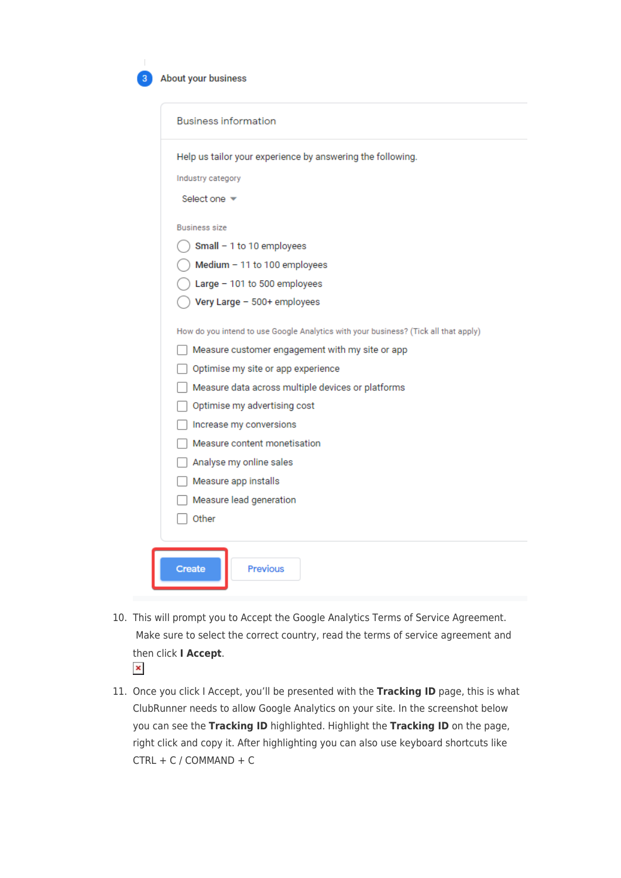| About your business |
|---------------------|
|---------------------|

|                                 | Help us tailor your experience by answering the following.                          |
|---------------------------------|-------------------------------------------------------------------------------------|
|                                 |                                                                                     |
| Industry category               |                                                                                     |
| Select one $\blacktriangledown$ |                                                                                     |
| <b>Business size</b>            |                                                                                     |
|                                 | Small $-1$ to 10 employees                                                          |
|                                 | Medium - 11 to 100 employees                                                        |
|                                 | Large - 101 to 500 employees                                                        |
|                                 | Very Large - 500+ employees                                                         |
|                                 | How do you intend to use Google Analytics with your business? (Tick all that apply) |
|                                 | Measure customer engagement with my site or app                                     |
|                                 | Optimise my site or app experience                                                  |
|                                 | Measure data across multiple devices or platforms                                   |
|                                 | Optimise my advertising cost                                                        |
|                                 | Increase my conversions                                                             |
|                                 | Measure content monetisation                                                        |
|                                 | Analyse my online sales                                                             |
|                                 | Measure app installs                                                                |
|                                 | Measure lead generation                                                             |
|                                 |                                                                                     |

- 10. This will prompt you to Accept the Google Analytics Terms of Service Agreement. Make sure to select the correct country, read the terms of service agreement and then click **I Accept**.  $\pmb{\times}$
- 11. Once you click I Accept, you'll be presented with the **Tracking ID** page, this is what ClubRunner needs to allow Google Analytics on your site. In the screenshot below you can see the **Tracking ID** highlighted. Highlight the **Tracking ID** on the page, right click and copy it. After highlighting you can also use keyboard shortcuts like  $CTRL + C / COMMAND + C$